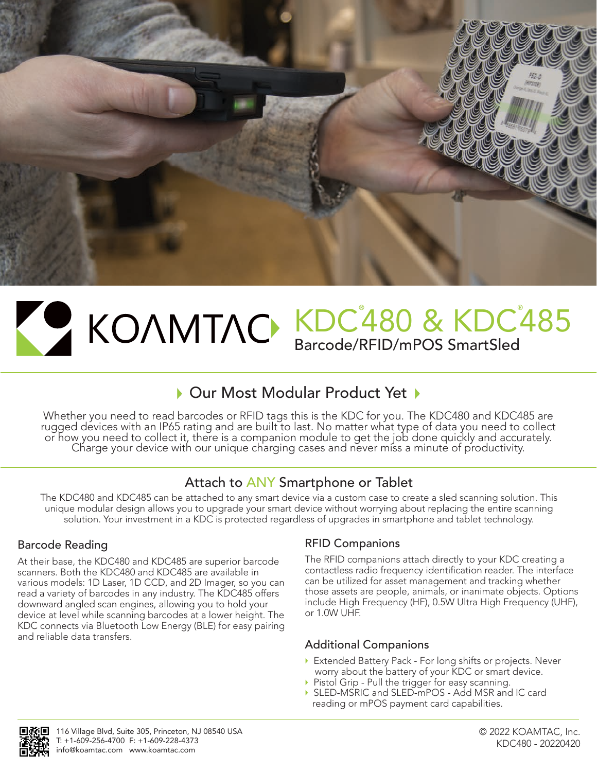

# KDC<sup>°</sup>480 & KDC<sup>°</sup>485 Barcode/RFID/mPOS SmartSled

## ▶ Our Most Modular Product Yet ▶

Whether you need to read barcodes or RFID tags this is the KDC for you. The KDC480 and KDC485 are rugged devices with an IP65 rating and are built to last. No matter what type of data you need to collect or how you need to collect it, there is a companion module to get the job done quickly and accurately.<br>Charge your device with our unique charging cases and never miss a minute of productivity.

### Attach to ANY Smartphone or Tablet

The KDC480 and KDC485 can be attached to any smart device via a custom case to create a sled scanning solution. This unique modular design allows you to upgrade your smart device without worrying about replacing the entire scanning solution. Your investment in a KDC is protected regardless of upgrades in smartphone and tablet technology.

### Barcode Reading

At their base, the KDC480 and KDC485 are superior barcode scanners. Both the KDC480 and KDC485 are available in various models: 1D Laser, 1D CCD, and 2D Imager, so you can read a variety of barcodes in any industry. The KDC485 offers downward angled scan engines, allowing you to hold your device at level while scanning barcodes at a lower height. The KDC connects via Bluetooth Low Energy (BLE) for easy pairing and reliable data transfers.

### RFID Companions

The RFID companions attach directly to your KDC creating a contactless radio frequency identification reader. The interface can be utilized for asset management and tracking whether those assets are people, animals, or inanimate objects. Options include High Frequency (HF), 0.5W Ultra High Frequency (UHF), or 1.0W UHF.

### Additional Companions

- Extended Battery Pack For long shifts or projects. Never worry about the battery of your KDC or smart device.
- Pistol Grip Pull the trigger for easy scanning.
- SLED-MSRIC and SLED-mPOS Add MSR and IC card reading or mPOS payment card capabilities.